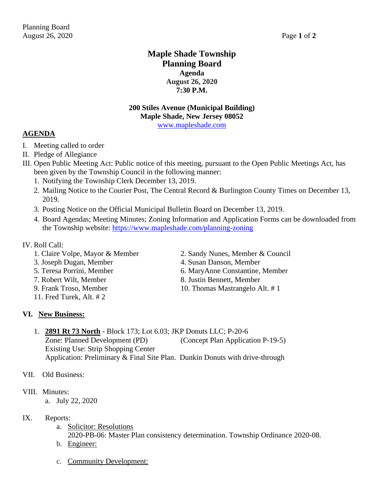## **Maple Shade Township Planning Board Agenda August 26, 2020 7:30 P.M.**

#### **200 Stiles Avenue (Municipal Building) Maple Shade, New Jersey 08052** [www.mapleshade.com](http://www.mapleshade.com/)

#### **AGENDA**

- I. Meeting called to order
- II. Pledge of Allegiance
- III. Open Public Meeting Act: Public notice of this meeting, pursuant to the Open Public Meetings Act, has been given by the Township Council in the following manner:
	- 1. Notifying the Township Clerk December 13, 2019.
	- 2. Mailing Notice to the Courier Post, The Central Record & Burlington County Times on December 13, 2019.
	- 3. Posting Notice on the Official Municipal Bulletin Board on December 13, 2019.
	- 4. Board Agendas; Meeting Minutes; Zoning Information and Application Forms can be downloaded from the Township website:<https://www.mapleshade.com/planning-zoning>

#### IV. Roll Call:

- 
- 3. Joseph Dugan, Member 4. Susan Danson, Member
- 
- 7. Robert Wilt, Member 8. Justin Bennett, Member
- 
- 11. Fred Turek, Alt. # 2

### **VI. New Business:**

- 1. Claire Volpe, Mayor & Member 2. Sandy Nunes, Member & Council
	-
- 5. Teresa Porrini, Member 6. MaryAnne Constantine, Member
	-
- 9. Frank Troso, Member 10. Thomas Mastrangelo Alt. #1
- 1. **2891 Rt 73 North** Block 173; Lot 6.03; JKP Donuts LLC; P-20-6 Zone: Planned Development (PD) (Concept Plan Application P-19-5) Existing Use: Strip Shopping Center Application: Preliminary & Final Site Plan. Dunkin Donuts with drive-through
- VII. Old Business:

### VIII. Minutes:

a. July 22, 2020

### IX. Reports:

a. Solicitor: Resolutions

2020-PB-06: Master Plan consistency determination. Township Ordinance 2020-08.

- b. Engineer:
- c. Community Development: